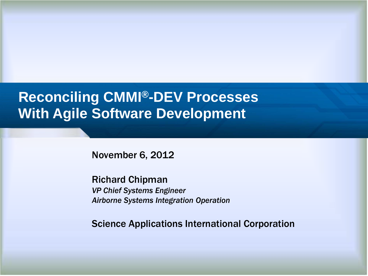#### **Reconciling CMMI®-DEV Processes With Agile Software Development**

November 6, 2012

Richard Chipman *VP Chief Systems Engineer Airborne Systems Integration Operation*

Science Applications International Corporation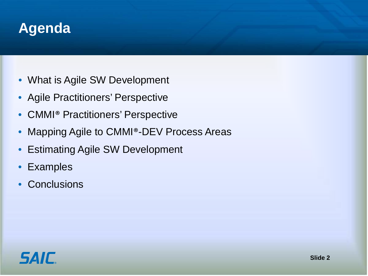

- What is Agile SW Development
- Agile Practitioners' Perspective
- CMMI® Practitioners' Perspective
- Mapping Agile to CMMI®-DEV Process Areas
- Estimating Agile SW Development
- Examples
- Conclusions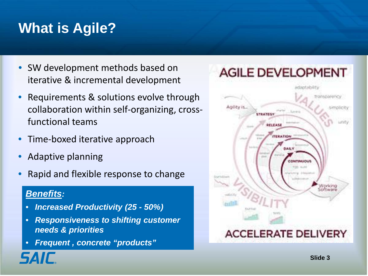# **What is Agile?**

- SW development methods based on iterative & incremental development
- Requirements & solutions evolve through collaboration within self-organizing, crossfunctional teams
- Time-boxed iterative approach
- Adaptive planning
- Rapid and flexible response to change

#### *Benefits:*

- *Increased Productivity (25 - 50%)*
- *Responsiveness to shifting customer needs & priorities*
- *Frequent , concrete "products"*

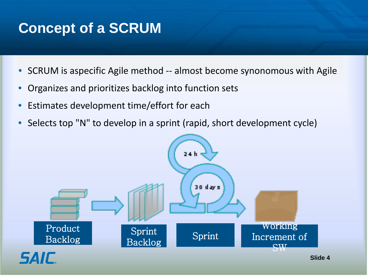#### **Concept of a SCRUM**

- SCRUM is aspecific Agile method -- almost become synonomous with Agile
- Organizes and prioritizes backlog into function sets
- Estimates development time/effort for each
- Selects top "N" to develop in a sprint (rapid, short development cycle)

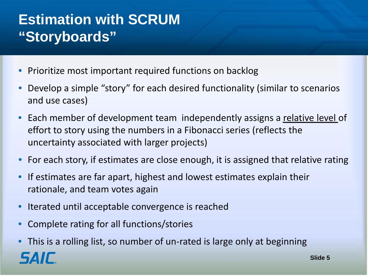## **Estimation with SCRUM "Storyboards"**

- Prioritize most important required functions on backlog
- Develop a simple "story" for each desired functionality (similar to scenarios and use cases)
- Each member of development team independently assigns a relative level of effort to story using the numbers in a Fibonacci series (reflects the uncertainty associated with larger projects)
- For each story, if estimates are close enough, it is assigned that relative rating
- If estimates are far apart, highest and lowest estimates explain their rationale, and team votes again
- Iterated until acceptable convergence is reached
- Complete rating for all functions/stories
- This is a rolling list, so number of un-rated is large only at beginning**SAIF Slide 5**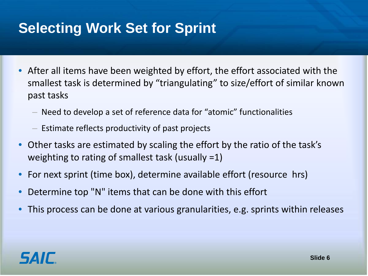## **Selecting Work Set for Sprint**

- After all items have been weighted by effort, the effort associated with the smallest task is determined by "triangulating" to size/effort of similar known past tasks
	- Need to develop a set of reference data for "atomic" functionalities
	- Estimate reflects productivity of past projects
- Other tasks are estimated by scaling the effort by the ratio of the task's weighting to rating of smallest task (usually =1)
- For next sprint (time box), determine available effort (resource hrs)
- Determine top "N" items that can be done with this effort
- This process can be done at various granularities, e.g. sprints within releases

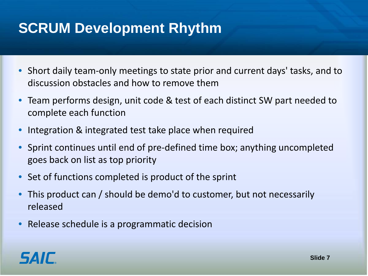## **SCRUM Development Rhythm**

- Short daily team-only meetings to state prior and current days' tasks, and to discussion obstacles and how to remove them
- Team performs design, unit code & test of each distinct SW part needed to complete each function
- Integration & integrated test take place when required
- Sprint continues until end of pre-defined time box; anything uncompleted goes back on list as top priority
- Set of functions completed is product of the sprint
- This product can / should be demo'd to customer, but not necessarily released
- Release schedule is a programmatic decision

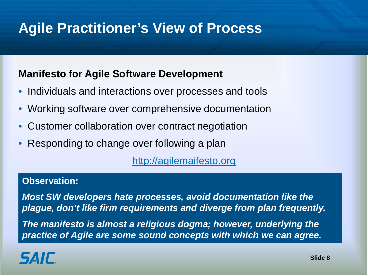## **Agile Practitioner's View of Process**

#### **Manifesto for Agile Software Development**

- Individuals and interactions over processes and tools
- Working software over comprehensive documentation
- Customer collaboration over contract negotiation
- Responding to change over following a plan

[http://agilemaifesto.org](http://agilemaifesto.org/)

#### **Observation:**

*Most SW developers hate processes, avoid documentation like the plague, don't like firm requirements and diverge from plan frequently.*

*The manifesto is almost a religious dogma; however, underlying the practice of Agile are some sound concepts with which we can agree.* 

## **SAIF**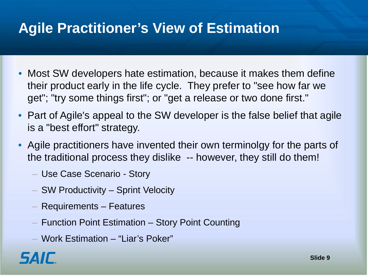#### **Agile Practitioner's View of Estimation**

- Most SW developers hate estimation, because it makes them define their product early in the life cycle. They prefer to "see how far we get"; "try some things first"; or "get a release or two done first."
- Part of Agile's appeal to the SW developer is the false belief that agile is a "best effort" strategy.
- Agile practitioners have invented their own terminolgy for the parts of the traditional process they dislike -- however, they still do them!
	- Use Case Scenario Story
	- SW Productivity Sprint Velocity
	- Requirements Features
	- Function Point Estimation Story Point Counting
	- Work Estimation "Liar's Poker"

#### *SAIC*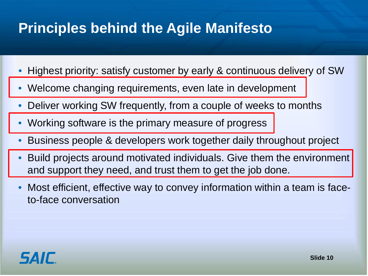## **Principles behind the Agile Manifesto**

- Highest priority: satisfy customer by early & continuous delivery of SW
- Welcome changing requirements, even late in development
- Deliver working SW frequently, from a couple of weeks to months
- Working software is the primary measure of progress
- Business people & developers work together daily throughout project
- Build projects around motivated individuals. Give them the environment and support they need, and trust them to get the job done.
- Most efficient, effective way to convey information within a team is faceto-face conversation

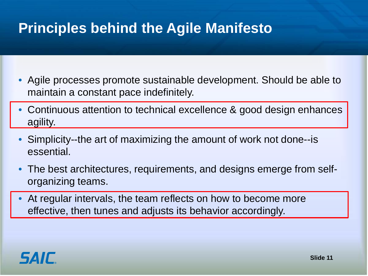## **Principles behind the Agile Manifesto**

- Agile processes promote sustainable development. Should be able to maintain a constant pace indefinitely.
- Continuous attention to technical excellence & good design enhances agility.
- Simplicity--the art of maximizing the amount of work not done--is essential.
- The best architectures, requirements, and designs emerge from selforganizing teams.
- At regular intervals, the team reflects on how to become more effective, then tunes and adjusts its behavior accordingly.

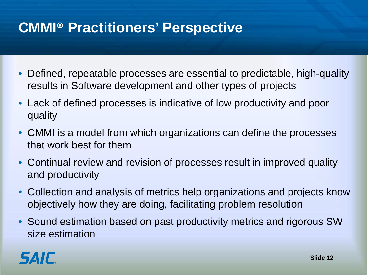## **CMMI® Practitioners' Perspective**

- Defined, repeatable processes are essential to predictable, high-quality results in Software development and other types of projects
- Lack of defined processes is indicative of low productivity and poor quality
- CMMI is a model from which organizations can define the processes that work best for them
- Continual review and revision of processes result in improved quality and productivity
- Collection and analysis of metrics help organizations and projects know objectively how they are doing, facilitating problem resolution
- Sound estimation based on past productivity metrics and rigorous SW size estimation

# *SAIL*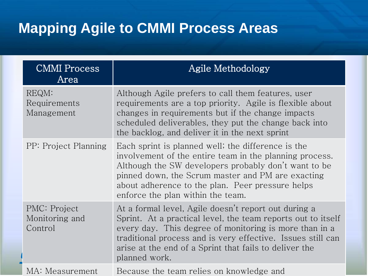## **Mapping Agile to CMMI Process Areas**

| <b>CMMI</b> Process<br>Area               | Agile Methodology                                                                                                                                                                                                                                                                                                        |
|-------------------------------------------|--------------------------------------------------------------------------------------------------------------------------------------------------------------------------------------------------------------------------------------------------------------------------------------------------------------------------|
| REQM:<br>Requirements<br>Management       | Although Agile prefers to call them features, user<br>requirements are a top priority. Agile is flexible about<br>changes in requirements but if the change impacts<br>scheduled deliverables, they put the change back into<br>the backlog, and deliver it in the next sprint                                           |
| PP: Project Planning                      | Each sprint is planned well; the difference is the<br>involvement of the entire team in the planning process.<br>Although the SW developers probably don't want to be<br>pinned down, the Scrum master and PM are exacting<br>about adherence to the plan. Peer pressure helps<br>enforce the plan within the team.      |
| PMC: Project<br>Monitoring and<br>Control | At a formal level, Agile doesn't report out during a<br>Sprint. At a practical level, the team reports out to itself<br>every day. This degree of monitoring is more than in a<br>traditional process and is very effective. Issues still can<br>arise at the end of a Sprint that fails to deliver the<br>planned work. |
| MA: Measurement                           | Because the team relies on knowledge and                                                                                                                                                                                                                                                                                 |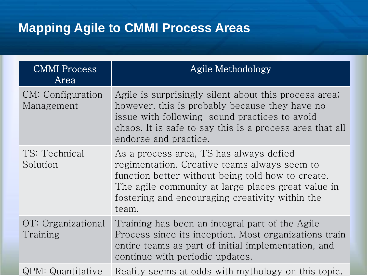#### **Mapping Agile to CMMI Process Areas**

| <b>CMMI</b> Process<br>Area     | Agile Methodology                                                                                                                                                                                                                                              |
|---------------------------------|----------------------------------------------------------------------------------------------------------------------------------------------------------------------------------------------------------------------------------------------------------------|
| CM: Configuration<br>Management | Agile is surprisingly silent about this process area;<br>however, this is probably because they have no<br>issue with following sound practices to avoid<br>chaos. It is safe to say this is a process area that all<br>endorse and practice.                  |
| TS: Technical<br>Solution       | As a process area, TS has always defied<br>regimentation. Creative teams always seem to<br>function better without being told how to create.<br>The agile community at large places great value in<br>fostering and encouraging creativity within the<br>team. |
| OT: Organizational<br>Training  | Training has been an integral part of the Agile<br>Process since its inception. Most organizations train<br>entire teams as part of initial implementation, and<br>continue with periodic updates.                                                             |
| QPM: Quantitative               | Reality seems at odds with mythology on this topic.                                                                                                                                                                                                            |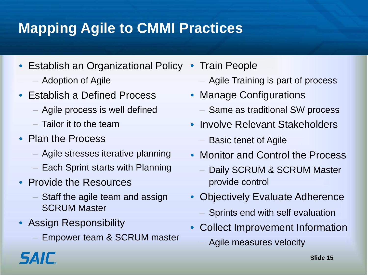# **Mapping Agile to CMMI Practices**

- Establish an Organizational Policy
	- Adoption of Agile
- Establish a Defined Process
	- Agile process is well defined
	- Tailor it to the team
- Plan the Process
	- Agile stresses iterative planning
	- Each Sprint starts with Planning
- Provide the Resources
	- Staff the agile team and assign SCRUM Master
- Assign Responsibility

*SAIL* 

– Empower team & SCRUM master

- Train People
	- Agile Training is part of process
- Manage Configurations
	- Same as traditional SW process
- Involve Relevant Stakeholders
	- Basic tenet of Agile
- Monitor and Control the Process
	- Daily SCRUM & SCRUM Master provide control
- Objectively Evaluate Adherence
	- Sprints end with self evaluation
- Collect Improvement Information
	- Agile measures velocity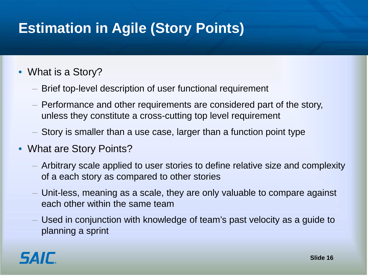# **Estimation in Agile (Story Points)**

#### • What is a Story?

- Brief top-level description of user functional requirement
- Performance and other requirements are considered part of the story, unless they constitute a cross-cutting top level requirement
- Story is smaller than a use case, larger than a function point type
- What are Story Points?
	- Arbitrary scale applied to user stories to define relative size and complexity of a each story as compared to other stories
	- Unit-less, meaning as a scale, they are only valuable to compare against each other within the same team
	- Used in conjunction with knowledge of team's past velocity as a guide to planning a sprint

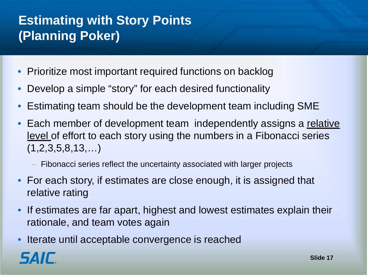#### **Estimating with Story Points (Planning Poker)**

- Prioritize most important required functions on backlog
- Develop a simple "story" for each desired functionality
- Estimating team should be the development team including SME
- Each member of development team independently assigns a relative level of effort to each story using the numbers in a Fibonacci series  $(1,2,3,5,8,13,...)$ 
	- Fibonacci series reflect the uncertainty associated with larger projects
- For each story, if estimates are close enough, it is assigned that relative rating
- If estimates are far apart, highest and lowest estimates explain their rationale, and team votes again
- Iterate until acceptable convergence is reached

*SAIC*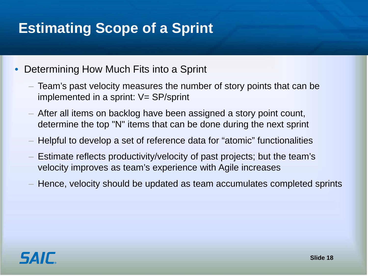## **Estimating Scope of a Sprint**

- Determining How Much Fits into a Sprint
	- Team's past velocity measures the number of story points that can be implemented in a sprint:  $V = SP$ /sprint
	- After all items on backlog have been assigned a story point count, determine the top "N" items that can be done during the next sprint
	- Helpful to develop a set of reference data for "atomic" functionalities
	- Estimate reflects productivity/velocity of past projects; but the team's velocity improves as team's experience with Agile increases
	- Hence, velocity should be updated as team accumulates completed sprints

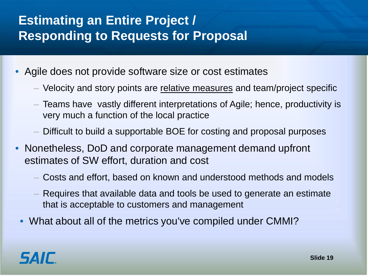#### **Estimating an Entire Project / Responding to Requests for Proposal**

- Agile does not provide software size or cost estimates
	- Velocity and story points are relative measures and team/project specific
	- Teams have vastly different interpretations of Agile; hence, productivity is very much a function of the local practice
	- Difficult to build a supportable BOE for costing and proposal purposes
- Nonetheless, DoD and corporate management demand upfront estimates of SW effort, duration and cost
	- Costs and effort, based on known and understood methods and models
	- Requires that available data and tools be used to generate an estimate that is acceptable to customers and management
	- What about all of the metrics you've compiled under CMMI?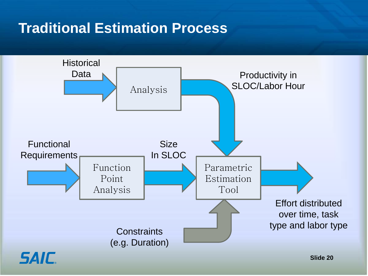#### **Traditional Estimation Process**

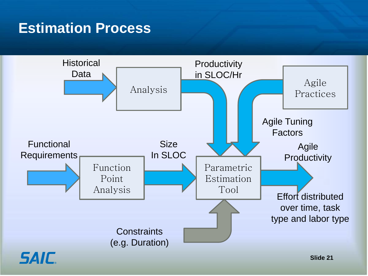#### **Estimation Process**

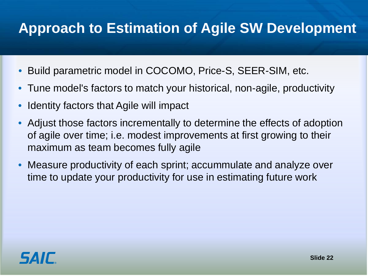#### **Approach to Estimation of Agile SW Development**

- Build parametric model in COCOMO, Price-S, SEER-SIM, etc.
- Tune model's factors to match your historical, non-agile, productivity
- Identity factors that Agile will impact
- Adjust those factors incrementally to determine the effects of adoption of agile over time; i.e. modest improvements at first growing to their maximum as team becomes fully agile
- Measure productivity of each sprint; accummulate and analyze over time to update your productivity for use in estimating future work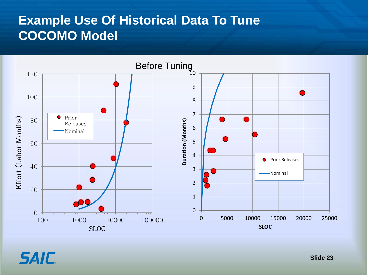#### **Example Use Of Historical Data To Tune COCOMO Model**



**SAIC.**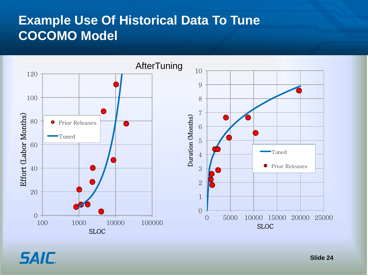#### **Example Use Of Historical Data To Tune COCOMO Model**

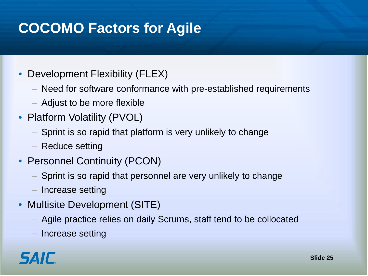## **COCOMO Factors for Agile**

- Development Flexibility (FLEX)
	- Need for software conformance with pre-established requirements
	- Adjust to be more flexible
- Platform Volatility (PVOL)
	- Sprint is so rapid that platform is very unlikely to change
	- Reduce setting
- Personnel Continuity (PCON)
	- Sprint is so rapid that personnel are very unlikely to change
	- Increase setting
- Multisite Development (SITE)
	- Agile practice relies on daily Scrums, staff tend to be collocated
	- Increase setting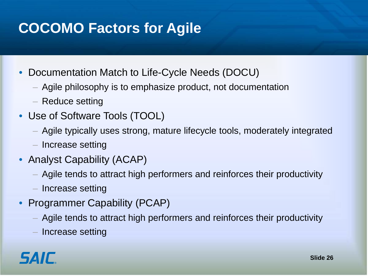## **COCOMO Factors for Agile**

- Documentation Match to Life-Cycle Needs (DOCU)
	- Agile philosophy is to emphasize product, not documentation
	- Reduce setting
- Use of Software Tools (TOOL)
	- Agile typically uses strong, mature lifecycle tools, moderately integrated
	- Increase setting
- Analyst Capability (ACAP)
	- Agile tends to attract high performers and reinforces their productivity
	- Increase setting
- Programmer Capability (PCAP)
	- Agile tends to attract high performers and reinforces their productivity
	- Increase setting

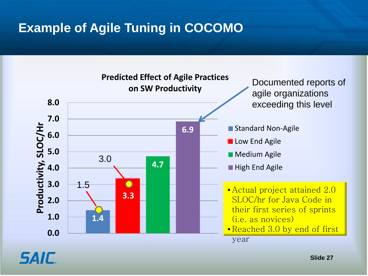#### **Example of Agile Tuning in COCOMO**



**Slide 27**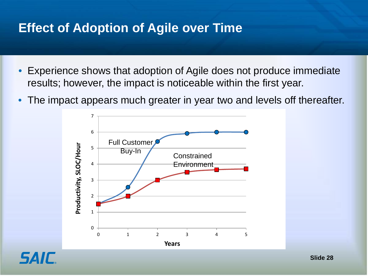#### **Effect of Adoption of Agile over Time**

- Experience shows that adoption of Agile does not produce immediate results; however, the impact is noticeable within the first year.
- The impact appears much greater in year two and levels off thereafter.



*SAIL*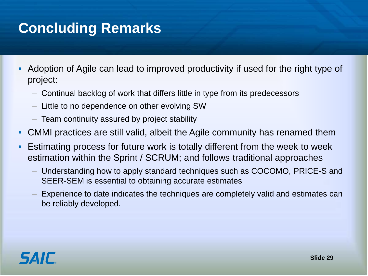## **Concluding Remarks**

- Adoption of Agile can lead to improved productivity if used for the right type of project:
	- Continual backlog of work that differs little in type from its predecessors
	- Little to no dependence on other evolving SW
	- Team continuity assured by project stability
- CMMI practices are still valid, albeit the Agile community has renamed them
- Estimating process for future work is totally different from the week to week estimation within the Sprint / SCRUM; and follows traditional approaches
	- Understanding how to apply standard techniques such as COCOMO, PRICE-S and SEER-SEM is essential to obtaining accurate estimates
	- Experience to date indicates the techniques are completely valid and estimates can be reliably developed.